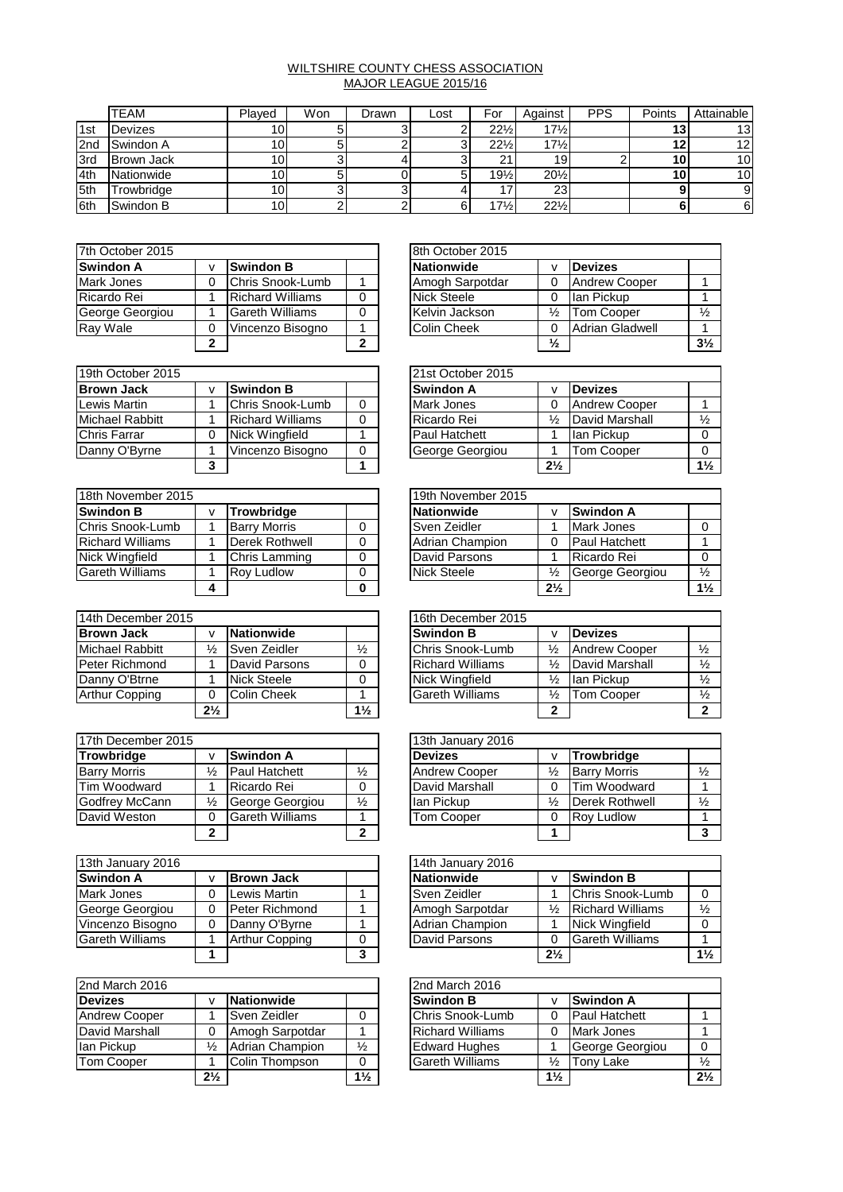## WILTSHIRE COUNTY CHESS ASSOCIATION MAJOR LEAGUE 2015/16

|            | <b>TEAM</b>       | Plaved          | Won | Drawn | Lost | For             | Against         | <b>PPS</b> | Points | Attainable      |
|------------|-------------------|-----------------|-----|-------|------|-----------------|-----------------|------------|--------|-----------------|
| 1st        | Devizes           | 10.             |     |       |      | $22\frac{1}{2}$ | $17\frac{1}{2}$ |            | 13     | 13 <sub>l</sub> |
| 2nd        | Swindon A         | 10              |     |       |      | $22\frac{1}{2}$ | $17\frac{1}{2}$ |            | 14     | 12 <sub>1</sub> |
| 3rd        | <b>Brown Jack</b> | 10.             |     |       |      | ີ               | 19              |            | 10     | 10 <sup>1</sup> |
| 4th        | Nationwide        | 10 <sub>1</sub> |     |       |      | $19\frac{1}{2}$ | $20\frac{1}{2}$ |            | 10     | 10              |
| <b>5th</b> | Trowbridge        | 10 <sub>1</sub> |     |       |      |                 | 23 <sub>1</sub> |            |        |                 |
| 6th        | Swindon B         | 10              |     |       |      | $17\frac{1}{2}$ | $22\frac{1}{2}$ |            |        | 6               |

| 7th October 2015 |   |                         | 8th October 2015 |                    |               |                        |  |
|------------------|---|-------------------------|------------------|--------------------|---------------|------------------------|--|
| <b>Swindon A</b> |   | <b>Swindon B</b>        |                  | Nationwide         |               | <b>Devizes</b>         |  |
| Mark Jones       |   | Chris Snook-Lumb        |                  | Amogh Sarpotdar    |               | <b>Andrew Cooper</b>   |  |
| Ricardo Rei      |   | <b>Richard Williams</b> |                  | <b>Nick Steele</b> |               | llan Pickup            |  |
| George Georgiou  |   | <b>Gareth Williams</b>  |                  | Kelvin Jackson     | $\frac{1}{2}$ | Tom Cooper             |  |
| Ray Wale         |   | Vincenzo Bisogno        |                  | <b>Colin Cheek</b> |               | <b>Adrian Gladwell</b> |  |
|                  | ◠ |                         |                  |                    | $\frac{1}{2}$ |                        |  |

|                         |                         |   | 8th October 2015   |               |                        |                |
|-------------------------|-------------------------|---|--------------------|---------------|------------------------|----------------|
| v                       | <b>Swindon B</b>        |   | <b>Nationwide</b>  |               | <b>Devizes</b>         |                |
| 0                       | Chris Snook-Lumb        |   | Amogh Sarpotdar    |               | <b>Andrew Cooper</b>   |                |
|                         | <b>Richard Williams</b> |   | <b>Nick Steele</b> |               | lan Pickup             |                |
|                         | <b>Gareth Williams</b>  | 0 | Kelvin Jackson     | ⅓             | <b>Tom Cooper</b>      | $\frac{1}{2}$  |
| 0                       | Vincenzo Bisogno        |   | <b>Colin Cheek</b> | 0             | <b>Adrian Gladwell</b> |                |
| $\overline{\mathbf{c}}$ |                         | າ |                    | $\frac{1}{2}$ |                        | $3\frac{1}{2}$ |

| 19th October 2015 |   |                         | 21st October 2015 |                   |                |                      |  |
|-------------------|---|-------------------------|-------------------|-------------------|----------------|----------------------|--|
| <b>Brown Jack</b> |   | Swindon B               |                   | <b>Swindon A</b>  |                | <b>Devizes</b>       |  |
| Lewis Martin      |   | Chris Snook-Lumb        |                   | <b>Mark Jones</b> |                | <b>Andrew Cooper</b> |  |
| Michael Rabbitt   |   | <b>Richard Williams</b> |                   | Ricardo Rei       | ⅓              | David Marshall       |  |
| Chris Farrar      |   | Nick Wingfield          |                   | Paul Hatchett     |                | lan Pickup           |  |
| Danny O'Byrne     |   | Vincenzo Bisogno        |                   | George Georgiou   |                | Tom Cooper           |  |
|                   | 3 |                         |                   |                   | $2\frac{1}{2}$ |                      |  |

| 18th November 2015      |                     | 19th November 2015 |                 |                |                      |  |
|-------------------------|---------------------|--------------------|-----------------|----------------|----------------------|--|
| <b>Swindon B</b>        | <b>Trowbridge</b>   |                    | Nationwide      |                | Swindon A            |  |
| Chris Snook-Lumb        | <b>Barry Morris</b> | 0                  | Sven Zeidler    |                | Mark Jones           |  |
| <b>Richard Williams</b> | Derek Rothwell      | 0                  | Adrian Champion |                | <b>Paul Hatchett</b> |  |
| Nick Wingfield          | Chris Lamming       |                    | David Parsons   |                | Ricardo Rei          |  |
| <b>Gareth Williams</b>  | <b>Rov Ludlow</b>   | 0                  | Nick Steele     | ⅓              | George Georgiou      |  |
|                         |                     | 0                  |                 | $2\frac{1}{2}$ |                      |  |

| 14th December 2015     |                |                    | 16th December 2015 |                         |               |                   |
|------------------------|----------------|--------------------|--------------------|-------------------------|---------------|-------------------|
| <b>Brown Jack</b>      |                | Nationwide         |                    | <b>Swindon B</b>        |               | <b>Devizes</b>    |
| <b>Michael Rabbitt</b> | ⅓              | Sven Zeidler       | $\frac{1}{2}$      | Chris Snook-Lumb        | $\frac{1}{2}$ | Andrew Cooper     |
| Peter Richmond         |                | David Parsons      |                    | <b>Richard Williams</b> | ⅓             | David Marshall    |
| Danny O'Btrne          |                | <b>Nick Steele</b> |                    | <b>Nick Wingfield</b>   | ⅓             | lan Pickup        |
| Arthur Copping         |                | <b>Colin Cheek</b> |                    | <b>Gareth Williams</b>  | ⅓             | <b>Tom Cooper</b> |
|                        | $2\frac{1}{2}$ |                    | $1\frac{1}{2}$     |                         | 2             |                   |

| 17th December 2015  |   |                        |               | 13th January 2016 |                      |               |                     |
|---------------------|---|------------------------|---------------|-------------------|----------------------|---------------|---------------------|
| Trowbridge          |   | Swindon A              |               |                   | <b>Devizes</b>       |               | <b>Trowbridge</b>   |
| <b>Barry Morris</b> | ⅓ | <b>Paul Hatchett</b>   | $\frac{1}{2}$ |                   | <b>Andrew Cooper</b> | ⅓             | <b>Barry Morris</b> |
| Tim Woodward        |   | Ricardo Rei            |               |                   | David Marshall       | 0             | Tim Woodward        |
| Godfrey McCann      | ⅓ | George Georgiou        | $\frac{1}{2}$ |                   | lan Pickup           | $\frac{1}{2}$ | Derek Rothwell      |
| David Weston        |   | <b>Gareth Williams</b> |               |                   | <b>Tom Cooper</b>    |               | <b>Rov Ludlow</b>   |
|                     |   |                        | ◠             |                   |                      |               |                     |

| 13th January 2016      |   |                       | 14th January 2016 |  |                 |                |                         |
|------------------------|---|-----------------------|-------------------|--|-----------------|----------------|-------------------------|
| <b>Swindon A</b>       |   | <b>Brown Jack</b>     |                   |  | Nationwide      |                | <b>Swindon B</b>        |
| Mark Jones             |   | Lewis Martin          |                   |  | Sven Zeidler    |                | Chris Snook-Lumb        |
| George Georgiou        | 0 | <b>Peter Richmond</b> |                   |  | Amogh Sarpotdar | ⅓              | <b>Richard Williams</b> |
| Vincenzo Bisogno       |   | Danny O'Byrne         |                   |  | Adrian Champion |                | Nick Wingfield          |
| <b>Gareth Williams</b> |   | <b>Arthur Copping</b> | 0                 |  | David Parsons   | 0              | <b>Gareth Williams</b>  |
|                        |   |                       | 3                 |  |                 | $2\frac{1}{2}$ |                         |

| 2nd March 2016       |                |                   | 2nd March 2016 |                         |                |                      |  |
|----------------------|----------------|-------------------|----------------|-------------------------|----------------|----------------------|--|
| <b>Devizes</b>       | v              | <b>Nationwide</b> |                | <b>Swindon B</b>        |                | <b>Swindon A</b>     |  |
| <b>Andrew Cooper</b> |                | Sven Zeidler      | 0              | Chris Snook-Lumb        |                | <b>Paul Hatchett</b> |  |
| David Marshall       |                | Amogh Sarpotdar   |                | <b>Richard Williams</b> |                | Mark Jones           |  |
| lan Pickup           | $\frac{1}{2}$  | Adrian Champion   | $\frac{1}{2}$  | <b>Edward Hughes</b>    |                | George Georgiou      |  |
| <b>Tom Cooper</b>    |                | Colin Thompson    | 0              | <b>Gareth Williams</b>  | ⅓              | Tony Lake            |  |
|                      | $2\frac{1}{2}$ |                   | $1\frac{1}{2}$ |                         | $1\frac{1}{2}$ |                      |  |

|   |                         |  | 21st October 2015 |                |                      |                |
|---|-------------------------|--|-------------------|----------------|----------------------|----------------|
| v | <b>Swindon B</b>        |  | <b>Swindon A</b>  |                | <b>Devizes</b>       |                |
|   | Chris Snook-Lumb        |  | Mark Jones        |                | <b>Andrew Cooper</b> |                |
|   | <b>Richard Williams</b> |  | Ricardo Rei       | ⅛              | David Marshall       |                |
| 0 | <b>Nick Wingfield</b>   |  | Paul Hatchett     |                | lan Pickup           |                |
|   | Vincenzo Bisogno        |  | George Georgiou   |                | <b>Tom Cooper</b>    |                |
| 3 |                         |  |                   | $2\frac{1}{2}$ |                      | $1\frac{1}{2}$ |

|   |                     | 19th November 2015     |                |                      |                |
|---|---------------------|------------------------|----------------|----------------------|----------------|
| v | <b>Trowbridge</b>   | <b>Nationwide</b>      |                | <b>Swindon A</b>     |                |
|   | <b>Barry Morris</b> | Sven Zeidler           |                | <b>Mark Jones</b>    |                |
|   | Derek Rothwell      | <b>Adrian Champion</b> |                | <b>Paul Hatchett</b> |                |
|   | Chris Lamming       | David Parsons          |                | Ricardo Rei          |                |
|   | <b>Rov Ludlow</b>   | <b>Nick Steele</b>     | $\frac{1}{2}$  | George Georgiou      | $\frac{1}{2}$  |
| 4 |                     |                        | $2\frac{1}{2}$ |                      | $1\frac{1}{2}$ |

|                |                    |                | 16th December 2015      |   |                      |               |
|----------------|--------------------|----------------|-------------------------|---|----------------------|---------------|
| v              | <b>Nationwide</b>  |                | <b>Swindon B</b>        |   | <b>Devizes</b>       |               |
| $\frac{1}{2}$  | Sven Zeidler       | $\frac{1}{2}$  | Chris Snook-Lumb        | ⅓ | <b>Andrew Cooper</b> | $\frac{1}{2}$ |
|                | David Parsons      |                | <b>Richard Williams</b> | ⅓ | David Marshall       | $\frac{1}{2}$ |
|                | <b>Nick Steele</b> |                | Nick Wingfield          | ⅛ | lan Pickup           | $\frac{1}{2}$ |
|                | <b>Colin Cheek</b> |                | <b>Gareth Williams</b>  | ⅓ | Tom Cooper           | $\frac{1}{2}$ |
| $2\frac{1}{2}$ |                    | $1\frac{1}{2}$ |                         |   |                      |               |

|                |                        |               | 13th January 2016     |               |                       |               |
|----------------|------------------------|---------------|-----------------------|---------------|-----------------------|---------------|
| v              | <b>Swindon A</b>       |               | <b>Devizes</b>        |               | <b>Trowbridge</b>     |               |
| $\frac{1}{2}$  | Paul Hatchett          | $\frac{1}{2}$ | <b>Andrew Cooper</b>  | $\frac{1}{2}$ | <b>Barry Morris</b>   | $\frac{1}{2}$ |
| 1              | Ricardo Rei            | 0             | <b>David Marshall</b> |               | Tim Woodward          |               |
| ⅓              | George Georgiou        | $\frac{1}{2}$ | lan Pickup            | ⅓             | <b>Derek Rothwell</b> | $\frac{1}{2}$ |
| 0              | <b>Gareth Williams</b> |               | <b>Tom Cooper</b>     |               | <b>Rov Ludlow</b>     |               |
| $\overline{2}$ |                        | າ             |                       |               |                       |               |

|   |                       |   | 14th January 2016 |                |                         |                |
|---|-----------------------|---|-------------------|----------------|-------------------------|----------------|
| v | <b>Brown Jack</b>     |   | <b>Nationwide</b> |                | <b>Swindon B</b>        |                |
| 0 | Lewis Martin          |   | Sven Zeidler      |                | Chris Snook-Lumb        |                |
| 0 | Peter Richmond        |   | Amogh Sarpotdar   | $\frac{1}{2}$  | <b>Richard Williams</b> | $\frac{1}{2}$  |
| 0 | Danny O'Byrne         |   | Adrian Champion   |                | Nick Wingfield          |                |
|   | <b>Arthur Copping</b> |   | David Parsons     |                | <b>Gareth Williams</b>  |                |
|   |                       | 3 |                   | $2\frac{1}{2}$ |                         | $1\frac{1}{2}$ |

|                |                 |                | 2nd March 2016          |                |                      |                |
|----------------|-----------------|----------------|-------------------------|----------------|----------------------|----------------|
| $\mathbf v$    | Nationwide      |                | <b>Swindon B</b>        |                | <b>Swindon A</b>     |                |
|                | Sven Zeidler    |                | Chris Snook-Lumb        |                | <b>Paul Hatchett</b> |                |
|                | Amogh Sarpotdar |                | <b>Richard Williams</b> |                | <b>Mark Jones</b>    |                |
| $\frac{1}{2}$  | Adrian Champion | $\frac{1}{2}$  | <b>Edward Hughes</b>    |                | George Georgiou      |                |
|                | Colin Thompson  |                | <b>Gareth Williams</b>  | ⅓              | Tony Lake            | $\frac{1}{2}$  |
| $2\frac{1}{2}$ |                 | $1\frac{1}{2}$ |                         | $1\frac{1}{2}$ |                      | $2\frac{1}{2}$ |